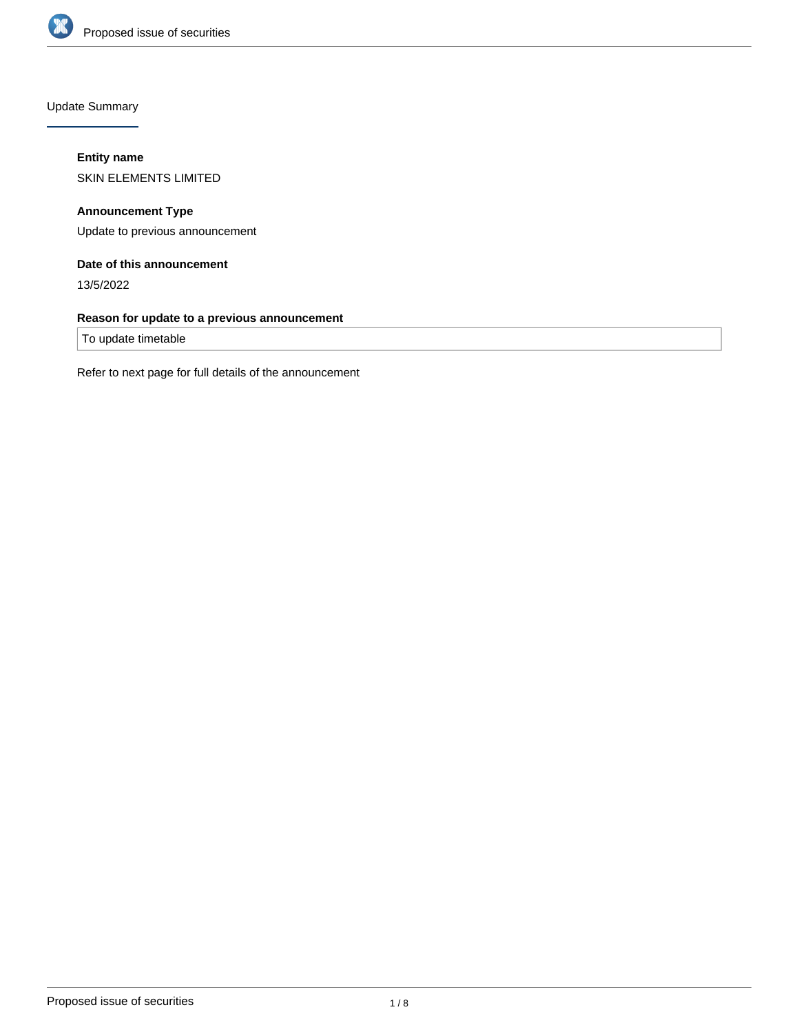

Update Summary

# **Entity name**

SKIN ELEMENTS LIMITED

**Announcement Type** Update to previous announcement

# **Date of this announcement**

13/5/2022

# **Reason for update to a previous announcement**

To update timetable

Refer to next page for full details of the announcement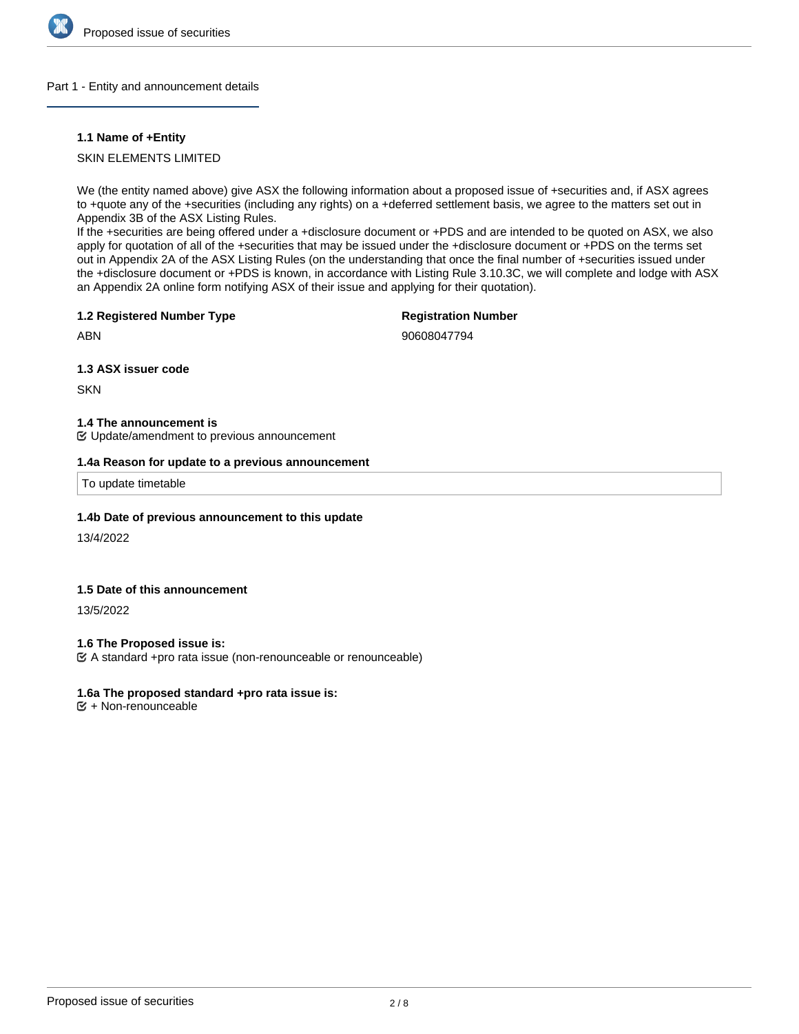

## Part 1 - Entity and announcement details

## **1.1 Name of +Entity**

SKIN ELEMENTS LIMITED

We (the entity named above) give ASX the following information about a proposed issue of +securities and, if ASX agrees to +quote any of the +securities (including any rights) on a +deferred settlement basis, we agree to the matters set out in Appendix 3B of the ASX Listing Rules.

If the +securities are being offered under a +disclosure document or +PDS and are intended to be quoted on ASX, we also apply for quotation of all of the +securities that may be issued under the +disclosure document or +PDS on the terms set out in Appendix 2A of the ASX Listing Rules (on the understanding that once the final number of +securities issued under the +disclosure document or +PDS is known, in accordance with Listing Rule 3.10.3C, we will complete and lodge with ASX an Appendix 2A online form notifying ASX of their issue and applying for their quotation).

#### **1.2 Registered Number Type**

**Registration Number**

ABN

90608047794

**1.3 ASX issuer code**

**SKN** 

**1.4 The announcement is**

Update/amendment to previous announcement

#### **1.4a Reason for update to a previous announcement**

To update timetable

# **1.4b Date of previous announcement to this update**

13/4/2022

# **1.5 Date of this announcement**

13/5/2022

**1.6 The Proposed issue is:**

A standard +pro rata issue (non-renounceable or renounceable)

## **1.6a The proposed standard +pro rata issue is:**

 $E + Non-renounceable$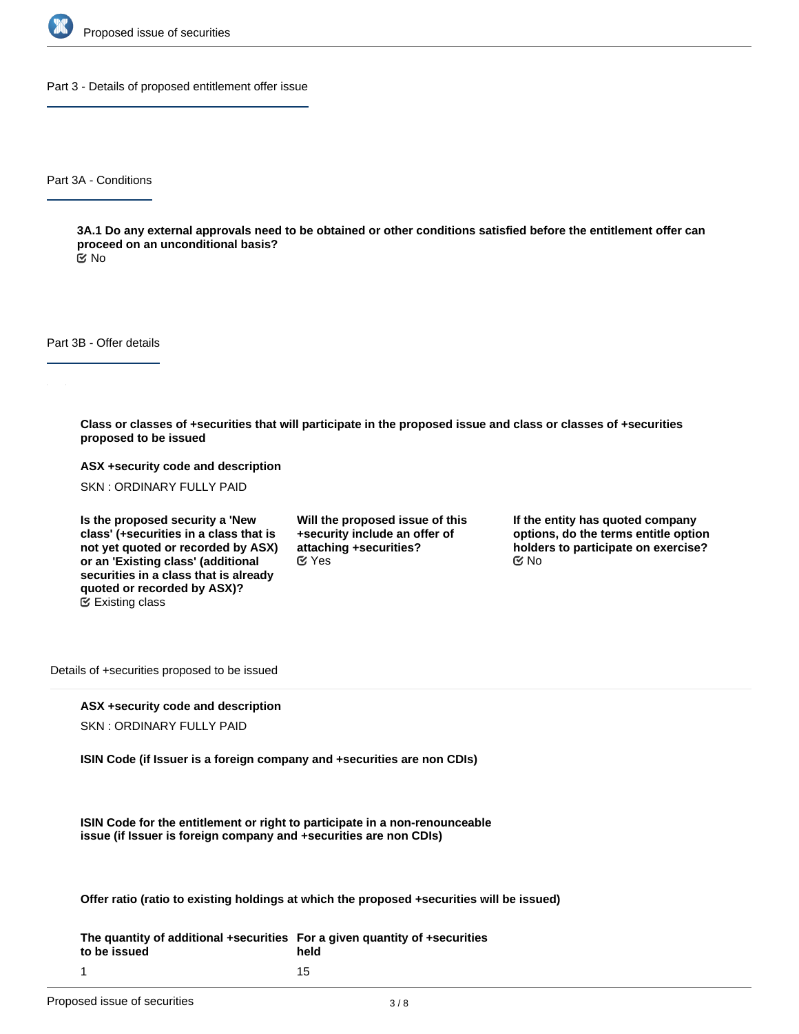

Part 3 - Details of proposed entitlement offer issue

Part 3A - Conditions

**3A.1 Do any external approvals need to be obtained or other conditions satisfied before the entitlement offer can proceed on an unconditional basis?**

No

Part 3B - Offer details

**Class or classes of +securities that will participate in the proposed issue and class or classes of +securities proposed to be issued**

**ASX +security code and description**

SKN : ORDINARY FULLY PAID

**Is the proposed security a 'New class' (+securities in a class that is not yet quoted or recorded by ASX) or an 'Existing class' (additional securities in a class that is already quoted or recorded by ASX)?** Existing class

**Will the proposed issue of this +security include an offer of attaching +securities?**  $C$  Yes  $C$  No

**If the entity has quoted company options, do the terms entitle option holders to participate on exercise?**

Details of +securities proposed to be issued

## **ASX +security code and description**

SKN : ORDINARY FULLY PAID

**ISIN Code (if Issuer is a foreign company and +securities are non CDIs)**

**ISIN Code for the entitlement or right to participate in a non-renounceable issue (if Issuer is foreign company and +securities are non CDIs)**

**Offer ratio (ratio to existing holdings at which the proposed +securities will be issued)**

**The quantity of additional +securities For a given quantity of +securities to be issued** 1 **held** 15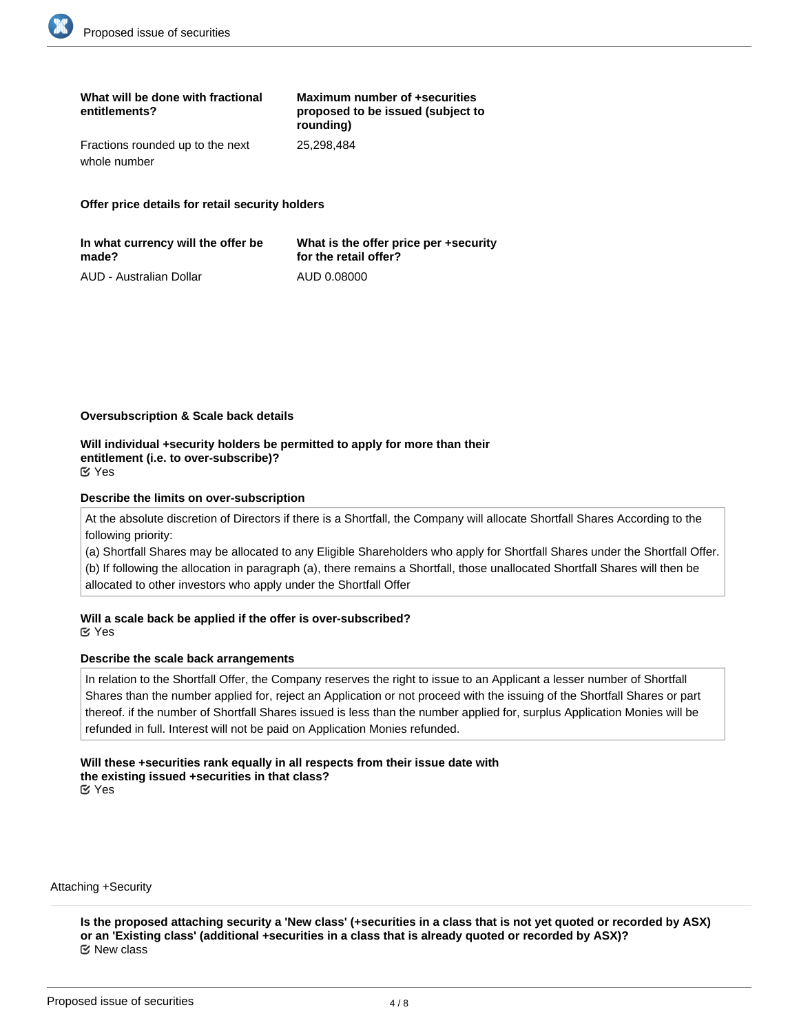| What will be done with fractional<br>entitlements? | Maximum number of +securities<br>proposed to be issued (subject to<br>rounding) |
|----------------------------------------------------|---------------------------------------------------------------------------------|
| Fractions rounded up to the next                   | 25.298.484                                                                      |
| whole number                                       |                                                                                 |

**Offer price details for retail security holders**

| In what currency will the offer be | What is the offer price per +security |
|------------------------------------|---------------------------------------|
| made?                              | for the retail offer?                 |
| AUD - Australian Dollar            | AUD 0.08000                           |

#### **Oversubscription & Scale back details**

#### **Will individual +security holders be permitted to apply for more than their entitlement (i.e. to over-subscribe)?** Yes

#### **Describe the limits on over-subscription**

At the absolute discretion of Directors if there is a Shortfall, the Company will allocate Shortfall Shares According to the following priority:

(a) Shortfall Shares may be allocated to any Eligible Shareholders who apply for Shortfall Shares under the Shortfall Offer. (b) If following the allocation in paragraph (a), there remains a Shortfall, those unallocated Shortfall Shares will then be allocated to other investors who apply under the Shortfall Offer

**Will a scale back be applied if the offer is over-subscribed?** Yes

## **Describe the scale back arrangements**

In relation to the Shortfall Offer, the Company reserves the right to issue to an Applicant a lesser number of Shortfall Shares than the number applied for, reject an Application or not proceed with the issuing of the Shortfall Shares or part thereof. if the number of Shortfall Shares issued is less than the number applied for, surplus Application Monies will be refunded in full. Interest will not be paid on Application Monies refunded.

#### **Will these +securities rank equally in all respects from their issue date with the existing issued +securities in that class?** Yes

Attaching +Security

**Is the proposed attaching security a 'New class' (+securities in a class that is not yet quoted or recorded by ASX) or an 'Existing class' (additional +securities in a class that is already quoted or recorded by ASX)?** New class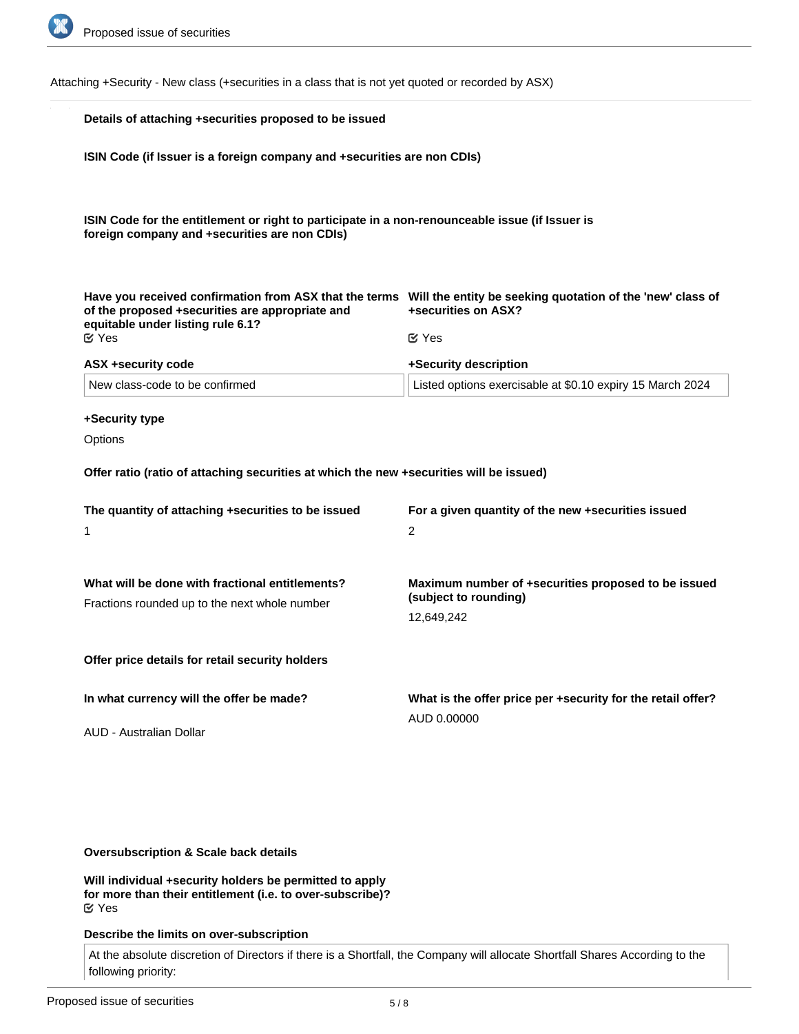

Attaching +Security - New class (+securities in a class that is not yet quoted or recorded by ASX)

| Details of attaching +securities proposed to be issued                                                                                           |                                                                                                                                          |  |
|--------------------------------------------------------------------------------------------------------------------------------------------------|------------------------------------------------------------------------------------------------------------------------------------------|--|
| ISIN Code (if Issuer is a foreign company and +securities are non CDIs)                                                                          |                                                                                                                                          |  |
|                                                                                                                                                  |                                                                                                                                          |  |
| ISIN Code for the entitlement or right to participate in a non-renounceable issue (if Issuer is<br>foreign company and +securities are non CDIs) |                                                                                                                                          |  |
|                                                                                                                                                  |                                                                                                                                          |  |
| of the proposed +securities are appropriate and                                                                                                  | Have you received confirmation from ASX that the terms Will the entity be seeking quotation of the 'new' class of<br>+securities on ASX? |  |
| equitable under listing rule 6.1?<br>$\mathfrak{C}$ Yes                                                                                          | $\mathfrak{C}$ Yes                                                                                                                       |  |
| ASX +security code                                                                                                                               | +Security description                                                                                                                    |  |
| New class-code to be confirmed                                                                                                                   | Listed options exercisable at \$0.10 expiry 15 March 2024                                                                                |  |
| +Security type                                                                                                                                   |                                                                                                                                          |  |
| Options                                                                                                                                          |                                                                                                                                          |  |
| Offer ratio (ratio of attaching securities at which the new +securities will be issued)                                                          |                                                                                                                                          |  |
| The quantity of attaching +securities to be issued                                                                                               | For a given quantity of the new +securities issued                                                                                       |  |
| 1                                                                                                                                                | 2                                                                                                                                        |  |
|                                                                                                                                                  |                                                                                                                                          |  |
| What will be done with fractional entitlements?<br>Fractions rounded up to the next whole number                                                 | Maximum number of +securities proposed to be issued<br>(subject to rounding)                                                             |  |
|                                                                                                                                                  | 12,649,242                                                                                                                               |  |
| Offer price details for retail security holders                                                                                                  |                                                                                                                                          |  |
| In what currency will the offer be made?                                                                                                         | What is the offer price per +security for the retail offer?                                                                              |  |
| AUD - Australian Dollar                                                                                                                          | AUD 0.00000                                                                                                                              |  |
|                                                                                                                                                  |                                                                                                                                          |  |
|                                                                                                                                                  |                                                                                                                                          |  |

# **Oversubscription & Scale back details**

**Will individual +security holders be permitted to apply for more than their entitlement (i.e. to over-subscribe)?** Yes

# **Describe the limits on over-subscription**

At the absolute discretion of Directors if there is a Shortfall, the Company will allocate Shortfall Shares According to the following priority: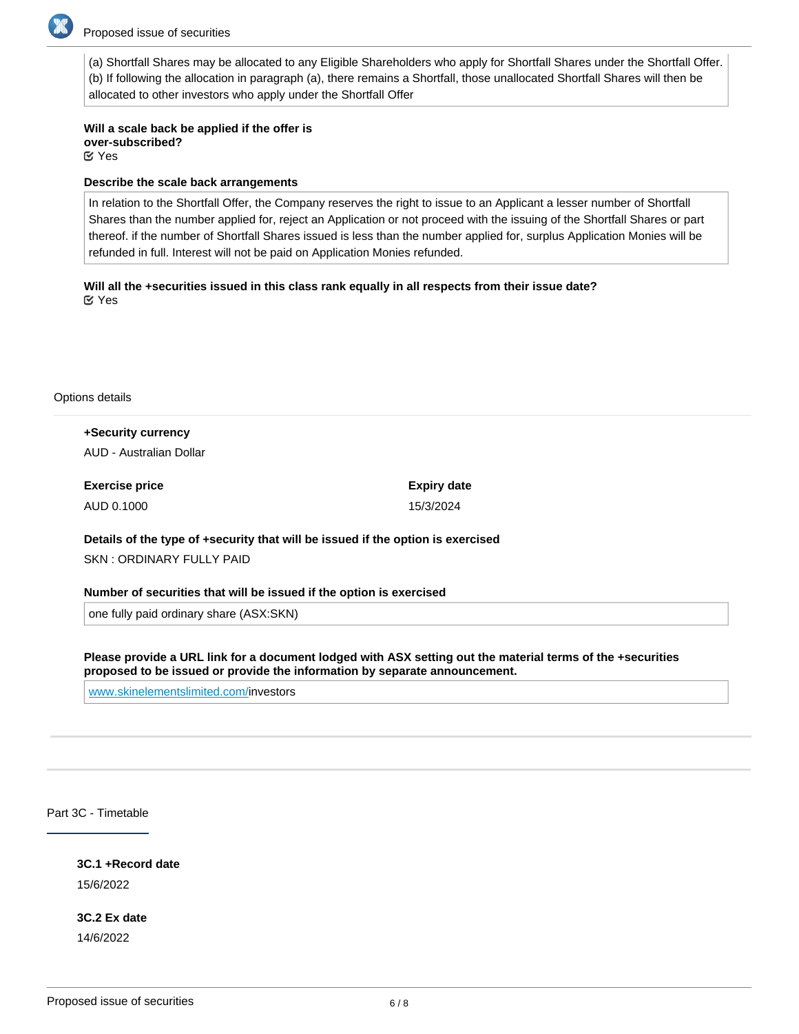

(a) Shortfall Shares may be allocated to any Eligible Shareholders who apply for Shortfall Shares under the Shortfall Offer. (b) If following the allocation in paragraph (a), there remains a Shortfall, those unallocated Shortfall Shares will then be allocated to other investors who apply under the Shortfall Offer

**Will a scale back be applied if the offer is over-subscribed?** Yes

#### **Describe the scale back arrangements**

In relation to the Shortfall Offer, the Company reserves the right to issue to an Applicant a lesser number of Shortfall Shares than the number applied for, reject an Application or not proceed with the issuing of the Shortfall Shares or part thereof. if the number of Shortfall Shares issued is less than the number applied for, surplus Application Monies will be refunded in full. Interest will not be paid on Application Monies refunded.

**Will all the +securities issued in this class rank equally in all respects from their issue date?** Yes

Options details

**+Security currency** AUD - Australian Dollar

**Exercise price** AUD 0.1000 **Expiry date** 15/3/2024

**Details of the type of +security that will be issued if the option is exercised**

SKN : ORDINARY FULLY PAID

**Number of securities that will be issued if the option is exercised**

one fully paid ordinary share (ASX:SKN)

**Please provide a URL link for a document lodged with ASX setting out the material terms of the +securities proposed to be issued or provide the information by separate announcement.**

[www.skinelementslimited.com/i](http://www.skinelementslimited.com/)nvestors

Part 3C - Timetable

**3C.1 +Record date**

15/6/2022

**3C.2 Ex date** 14/6/2022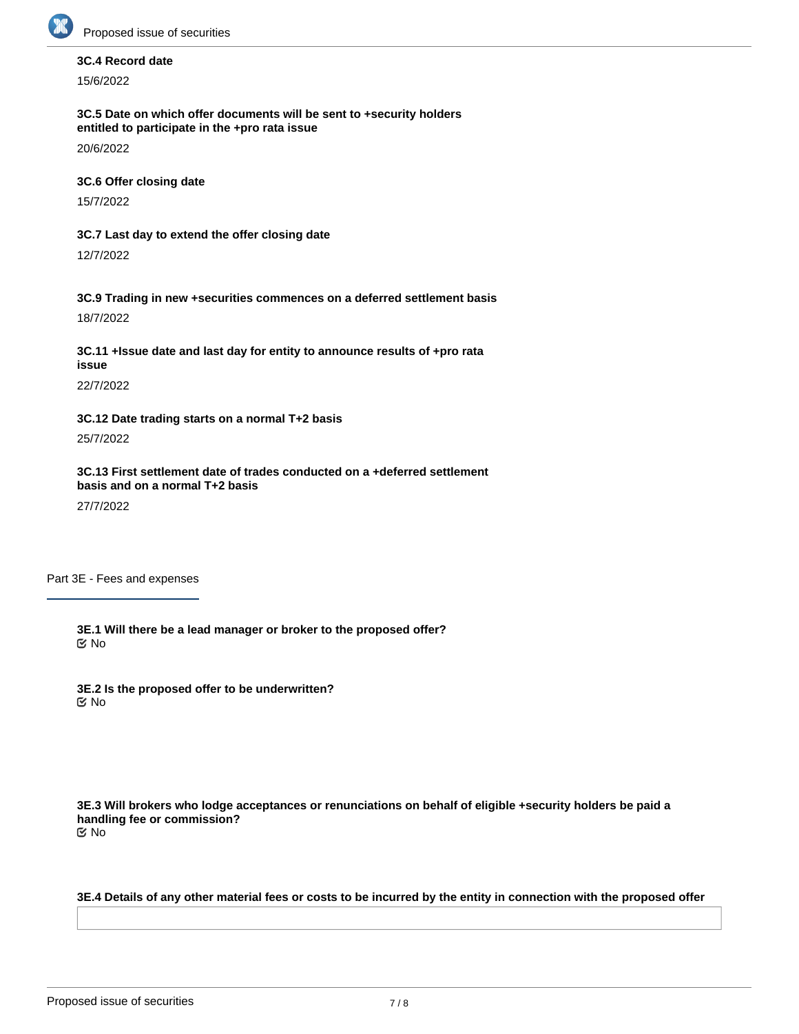

# **3C.4 Record date**

15/6/2022

**3C.5 Date on which offer documents will be sent to +security holders entitled to participate in the +pro rata issue**

20/6/2022

**3C.6 Offer closing date**

15/7/2022

**3C.7 Last day to extend the offer closing date**

12/7/2022

**3C.9 Trading in new +securities commences on a deferred settlement basis** 18/7/2022

**3C.11 +Issue date and last day for entity to announce results of +pro rata issue**

22/7/2022

**3C.12 Date trading starts on a normal T+2 basis**

25/7/2022

**3C.13 First settlement date of trades conducted on a +deferred settlement basis and on a normal T+2 basis**

27/7/2022

Part 3E - Fees and expenses

**3E.1 Will there be a lead manager or broker to the proposed offer?** No

**3E.2 Is the proposed offer to be underwritten?** No

**3E.3 Will brokers who lodge acceptances or renunciations on behalf of eligible +security holders be paid a handling fee or commission?** No

**3E.4 Details of any other material fees or costs to be incurred by the entity in connection with the proposed offer**